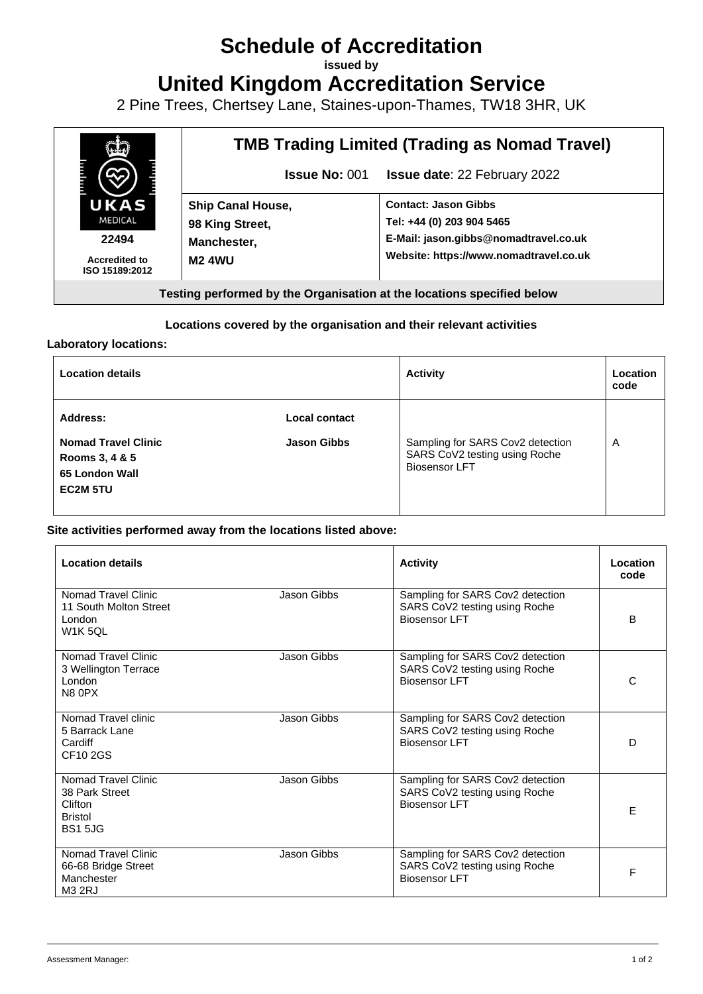# **Schedule of Accreditation**

**issued by**

**United Kingdom Accreditation Service**

2 Pine Trees, Chertsey Lane, Staines-upon-Thames, TW18 3HR, UK



#### **Locations covered by the organisation and their relevant activities**

#### **Laboratory locations:**

| <b>Location details</b>                                                                       |                                     | <b>Activity</b>                                                                           | Location<br>code |
|-----------------------------------------------------------------------------------------------|-------------------------------------|-------------------------------------------------------------------------------------------|------------------|
| Address:<br><b>Nomad Travel Clinic</b><br>Rooms 3, 4 & 5<br>65 London Wall<br><b>EC2M 5TU</b> | Local contact<br><b>Jason Gibbs</b> | Sampling for SARS Cov2 detection<br>SARS CoV2 testing using Roche<br><b>Biosensor LFT</b> | A                |

#### **Site activities performed away from the locations listed above:**

| <b>Location details</b>                                                              |             | <b>Activity</b>                                                                    | Location<br>code |
|--------------------------------------------------------------------------------------|-------------|------------------------------------------------------------------------------------|------------------|
| Nomad Travel Clinic<br>11 South Molton Street<br>London<br><b>W1K 5QL</b>            | Jason Gibbs | Sampling for SARS Cov2 detection<br>SARS CoV2 testing using Roche<br>Biosensor LFT | B                |
| Nomad Travel Clinic<br>3 Wellington Terrace<br>London<br>N8 0PX                      | Jason Gibbs | Sampling for SARS Cov2 detection<br>SARS CoV2 testing using Roche<br>Biosensor LFT | C                |
| Nomad Travel clinic<br>5 Barrack Lane<br>Cardiff<br>CF10 2GS                         | Jason Gibbs | Sampling for SARS Cov2 detection<br>SARS CoV2 testing using Roche<br>Biosensor LFT | D                |
| Nomad Travel Clinic<br>38 Park Street<br>Clifton<br><b>Bristol</b><br><b>BS1 5JG</b> | Jason Gibbs | Sampling for SARS Cov2 detection<br>SARS CoV2 testing using Roche<br>Biosensor LFT | E                |
| Nomad Travel Clinic<br>66-68 Bridge Street<br>Manchester<br>M <sub>3</sub> 2RJ       | Jason Gibbs | Sampling for SARS Cov2 detection<br>SARS CoV2 testing using Roche<br>Biosensor LFT | F                |